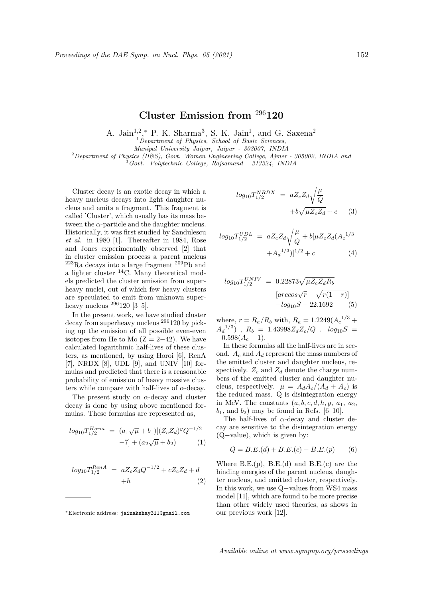## **Cluster Emission from** <sup>296</sup>**120**

A. Jain<sup>1,2</sup>,<sup>\*</sup> P. K. Sharma<sup>3</sup>, S. K. Jain<sup>1</sup>, and G. Saxena<sup>2</sup>

<sup>1</sup>*Department of Physics, School of Basic Sciences,*

*Manipal University Jaipur, Jaipur - 303007, INDIA*

<sup>2</sup>*Department of Physics (H&S), Govt. Women Engineering College, Ajmer - 305002, INDIA and*

<sup>3</sup>*Govt. Polytechnic College, Rajsamand - 313324, INDIA*

Cluster decay is an exotic decay in which a heavy nucleus decays into light daughter nucleus and emits a fragment. This fragment is called 'Cluster', which usually has its mass between the  $\alpha$ -particle and the daughter nucleus. Historically, it was first studied by Sandulescu *et al.* in 1980 [1]. Thereafter in 1984, Rose and Jones experimentally observed [2] that in cluster emission process a parent nucleus  $^{223}$ Ra decays into a large fragment  $^{209}$ Pb and a lighter cluster  $^{14}$ C. Many theoretical models predicted the cluster emission from superheavy nuclei, out of which few heavy clusters are speculated to emit from unknown superheavy nucleus  $^{296}120$  [3-5].

In the present work, we have studied cluster decay from superheavy nucleus <sup>296</sup>120 by picking up the emission of all possible even-even isotopes from He to Mo  $(Z = 2-42)$ . We have calculated logarithmic half-lives of these clusters, as mentioned, by using Horoi [6], RenA [7], NRDX [8], UDL [9], and UNIV  $[10]$  formulas and predicted that there is a reasonable probability of emission of heavy massive clusters while compare with half-lives of *α*-decay.

The present study on *α*-decay and cluster decay is done by using above mentioned formulas. These formulas are represented as,

$$
log_{10} T_{1/2}^{Horoi} = (a_1 \sqrt{\mu} + b_1)[(Z_c Z_d)^g Q^{-1/2} -7] + (a_2 \sqrt{\mu} + b_2)
$$
 (1)

$$
log_{10}T_{1/2}^{RenA} = aZ_cZ_dQ^{-1/2} + cZ_cZ_d + d
$$
  
+h (2)

$$
log_{10}T_{1/2}^{NRDX} = aZ_cZ_d\sqrt{\frac{\mu}{Q}}
$$

$$
+b\sqrt{\mu Z_cZ_d} + c
$$
 (3)

$$
log_{10} T_{1/2}^{UDL} = aZ_c Z_d \sqrt{\frac{\mu}{Q}} + b[\mu Z_c Z_d (A_c^{1/3} + A_d^{1/3})]^{1/2} + c
$$
 (4)

$$
log_{10}T_{1/2}^{UNIV} = 0.22873\sqrt{\mu Z_c Z_d R_b}
$$

$$
[arccos\sqrt{r} - \sqrt{r(1-r)}]
$$

$$
-log_{10}S - 22.1692
$$
 (5)

where,  $r = R_a/R_b$  with,  $R_a = 1.2249(A_c^{-1/3} +$  $A_d^{1/3}$ ),  $R_b = 1.43998 Z_d Z_c/Q$ .  $log_{10}S =$ *−*0*.*598(*A<sup>c</sup> −* 1).

In these formulas all the half-lives are in second. *A<sup>c</sup>* and *A<sup>d</sup>* represent the mass numbers of the emitted cluster and daughter nucleus, respectively.  $Z_c$  and  $Z_d$  denote the charge numbers of the emitted cluster and daughter nucleus, respectively.  $\mu = A_d A_c / (A_d + A_c)$  is the reduced mass. Q is disintegration energy in MeV. The constants  $(a, b, c, d, h, y, a_1, a_2,$  $b_1$ , and  $b_2$ ) may be found in Refs. [6–10].

The half-lives of *α*-decay and cluster decay are sensitive to the disintegration energy (Q*−*value), which is given by:

$$
Q = B.E.(d) + B.E.(c) - B.E.(p) \tag{6}
$$

Where  $B.E.(p)$ ,  $B.E.(d)$  and  $B.E.(c)$  are the binding energies of the parent nucleus, daughter nucleus, and emitted cluster, respectively. In this work, we use Q*−*values from WS4 mass model [11], which are found to be more precise than other widely used theories, as shows in our previous work [12].

Available online at www.sympnp.org/proceedings

*<sup>∗</sup>*Electronic address: jainakshay311@gmail.com